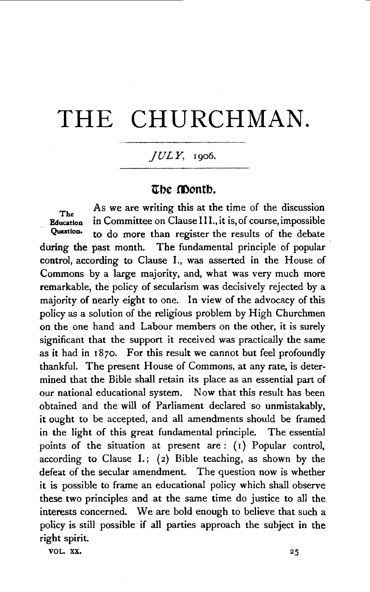# THE CHURCHMAN.

## *JULY,* 1906.

## The Month.

As we are writing this at the time of the discussion<br>Education in Committee on Clause III., it is, of course, impossible in Committee on Clause III., it is, of course, impossible Question. to do more than register the results of the debate during the past month. The fundamental principle of popular control, according to Clause 1., was asserted in the House of Commons by a large majority, and, what was very much more remarkable, the policy of secularism was decisively rejected by a majority of nearly eight to one. In view of the advocacy of this policy as a solution of the religious problem by High Churchmen on the one hand and Labour members on the other, it is surely significant that the support it received was practically the same as it had in 1870. For this result we cannot but feel profoundly thankful. The present House of Commons, at any rate, is determined that the Bible shall retain its place as an essential part of our national educational system. Now that this result has been obtained and the will of Parliament declared so unmistakably, it ought to be accepted, and all amendments should be framed in the light of this great fundamental principle. The essential points of the situation at present are : {I) Popular control, according to Clause I.; (2) Bible teaching, as shown by the defeat of the secular amendment. The question now is whether it is possible to frame an educational policy which shall observe these two principles and at the same time do justice to all the interests concerned. We are bold enough to believe that such a policy is still possible if all parties approach the subject in the right spirit.

VOL. XX.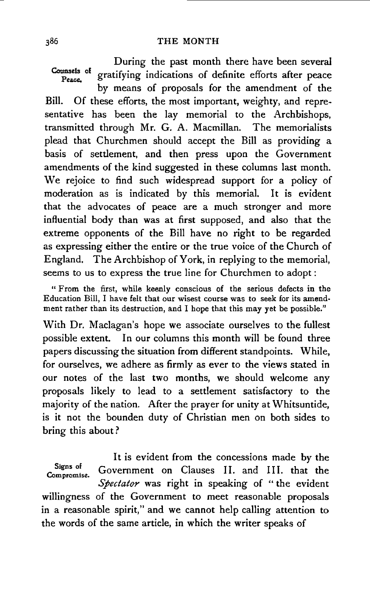During the past month there have been several Counsels of gratifying indications of definite efforts after peace by means of proposals for the amendment of the Bill. Of these efforts, the most important, weighty, and representative has been the lay memorial to the Archbishops, transmitted through Mr. G. A. Macmillan. The memorialists plead that Churchmen should accept the Bill as providing a basis of settlement, and then press upon the Government amendments of the kind suggested in these columns last month. We rejoice to find such widespread support for a policy of moderation as is indicated by this memorial. It is evident that the advocates of peace are a much stronger and more influential body than was at first supposed, and also that the extreme opponents of the Bill have no right to be regarded as expressing either the entire or the true voice of the Church of England. The Archbishop of York, in replying to the memorial, seems to us to express the true line for Churchmen to adopt :

"From the first, while keenly conscious of the serious defects in the Education Bill, I have felt that our wisest course was to seek for its amendment rather than its destruction, and I hope that this may yet be possible."

With Dr. Maclagan's hope we associate ourselves to the fullest possible extent. In our columns this month will be found three papers discussing the situation from different standpoints. While, for ourselves, we adhere as firmly as ever to the views stated in our notes of the last two months, we should welcome any proposals likely to lead to a settlement satisfactory to the majority of the nation. After the prayer for unity at Whitsuntide, is it not the bounden duty of Christian men on both sides to bring this about?

It is evident from the concessions made by the Signs of Government on Clauses II. and III. that the *Spectator* was right in speaking of " the evident willingness of the Government to meet reasonable proposals in a reasonable spirit," and we cannot help calling attention to the words of the same article, in which the writer speaks of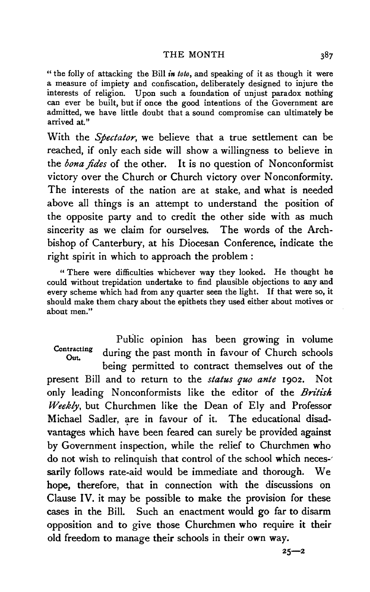#### THE MONTH

" the folly of attacking the Bill *in toto,* and speaking of it as though it were a measure of impiety and confiscation, deliberately designed to injure the interests of religion. Upon such a foundation of unjust paradox nothing can ever be built, but if once the good intentions of the Government are admitted, we have little doubt that a sound compromise can ultimately be arrived at."

With the *Spectator,* we believe that a true settlement can be reached, if only each side will show a willingness to believe in the *bona fides* of the other. It is no question of Nonconformist victory over the Church or Church victory over Nonconformity. The interests of the nation are at stake, and what is needed above all things is an attempt to understand the position of the opposite party and to credit the other side with as much sincerity as we claim for ourselves. The words of the Archbishop of Canterbury, at his Diocesan Conference, indicate the right spirit in which to approach the problem :

" There were difficulties whichever way they looked. He thought he could without trepidation undertake to find plausible objections to any and every scheme which had from any quarter seen the light. If that were so, it should make them chary about the epithets they used either about motives or about men."

Public opinion has been growing in volume Contracting during the past month in favour of Church schools being permitted to contract themselves out of the present Bill and to return to the *status quo ante* 1902. Not only leading Nonconformists like the editor of the *British Weekly,* but Churchmen like the Dean of Ely and Professor Michael Sadler, are in favour of it. The educational disadvantages which have been feared can surely be provided against by Government inspection, while the relief to Churchmen who do not wish to relinquish that control of the school which neces-' sarily follows rate-aid would be immediate and thorough. We hope, therefore, that in connection with the discussions on Clause IV. it may be possible to make the provision for these cases in the Bill. Such an enactment would go far to disarm opposition and to give those Churchmen who require it their old freedom to manage their schools in their own way.

387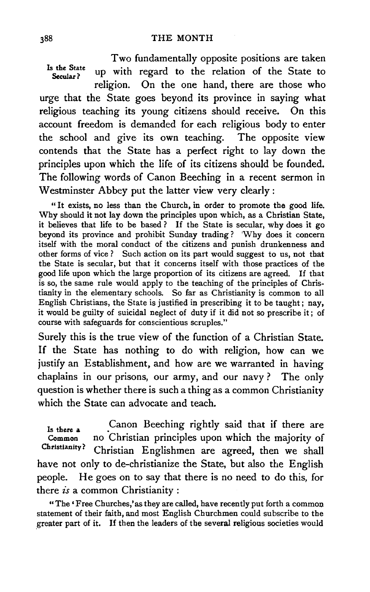Two fundamentally opposite positions are taken Is the State up with regard to the relation of the State to religion. On the one hand, there are those who urge that the State goes beyond its province in saying what religious teaching its young citizens should receive. On this account freedom is demanded for each religious body to enter the school and give its own teaching. The opposite view contends that the State has a perfect right to lay down the principles upon which the life of its citizens should be founded. The following words of Canon Beeching in a recent sermon in Westminster Abbey put the latter view very clearly :

" It exists, no less than the Church, in order to promote the good life. Why should it not lay down the principles upon which, as a Christian State, it believes that life to be based ? If the State is secular, why does it go beyond its province and prohibit Sunday trading? 'Why does it concern itself with the moral conduct of the citizens and punish drunkenness and other forms of vice ? Such action on its part would suggest to us, not that the State is secular, but that it concerns itself with those practices of the good life upon which the large proportion of its citizens are agreed. If that is so, the same rule would apply to the teaching of the principles of Christianity in the elementary schools. So far as Christianity is common to all English Christians, the State is justified in prescribing it to be taught; nay, it would be guilty of suicidal neglect of duty if it did not so prescribe it; of course with safeguards for conscientious scruples."

Surely this is the true view of the function of a Christian State. If the State has nothing to do with religion, how can we justify an Establishment, and how are we warranted in having chaplains in our prisons, our army, and our navy? The only question is whether there is such a thing as a common Christianity which the State can advocate and teach.

Is there a Common Christianity? Canon Beeching rightly said that if there are no Christian principles upon which the majority of Christian Englishmen are agreed, then we shall have not only to de-christianize the State, but also the English people. He goes on to say that there is no need to do this, for there *is* a common Christianity :

"The 'Free Churches,' as they are called, have recently put forth a common statement of their faith, and most English Churchmen could subscribe to the .greater part of it. If then the leaders of the several religious societies would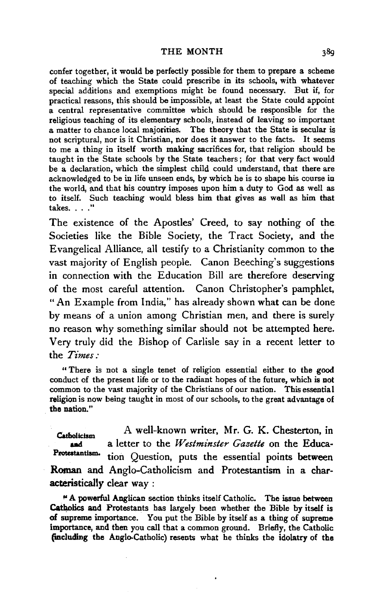#### THE MONTH

confer together, it would be perfectly possible for them to prepare a scheme of teaching which the State could prescribe in its schools, with whatever special additions and exemptions might be found necessary. But if, for practical reasons, this should be impossible, at least the State could appoint a central representative committee which should be responsible for the religious teaching of its elementary schools, instead of leaving so important a matter to chance local majorities. The theory that the State is secular is not scriptural, nor is it Christian, nor does it answer to the facts. It seems to me a thing in itself worth making sacrifices for, that religion should be taught in the State schools by the State teachers; for that very fact would be a declaration, which the simplest child could understand, that there are acknowledged to be in life unseen ends, by which he is to shape his course in the world, and that his country imposes upon him a duty to God as well as to itself. Such teaching would bless him that gives as well as him that takes  $\ldots$  "

The existence of the Apostles' Creed, to say nothing of the. Societies like the Bible Society, the Tract Society, and the Evangelical Alliance, all testify to a Christianity common to the vast majority of English people. Canon Beeching's suggestions in connection with the Education Bill are therefore deserving of the most careful attention. Canon Christopher's pamphlet, "An Example from India," has already shown what can be done by means of a union among Christian men, and there is surely no reason why something similar should not be attempted here. Very truly did the Bishop of Carlisle say in a recent letter to the *Times:* 

" There is not a single tenet of religion essential either to the good conduct of the present life or to the radiant hopes of the future, which is not common to the vast majority of the Christians of our nation. This essential religion is now being taught in most of our schools, to the great advantage of the nation."

A well-known writer, Mr. G. K. Chesterton, in Catholicism a letter to the *Westminster Gazette* on the Educaand Protestantism. tion Question, puts the essential points between Roman and Anglo-Catholicism and Protestantism in a characteristically clear way :

<sup>~</sup>A powerful Anglican section thinks itself Catholic. The issue between Catholics and Protestants has largely been whether the Bible by itself is of supreme importance. You put the Bible by itself as a thing of supreme importance, and then you call that a common ground. Briefly, the Catholic (iacluding the Anglo-Catholic) resents what he thinks the idolatry of the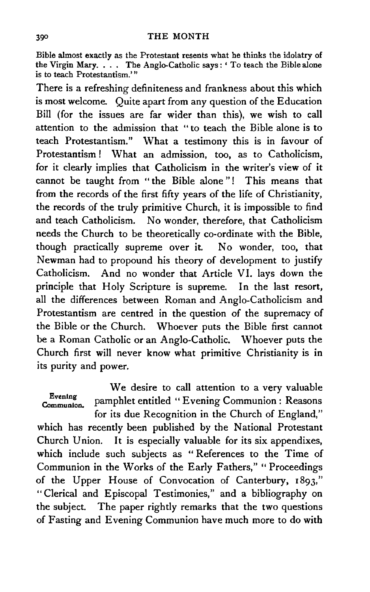### THE MONTH

Bible almost exactly as the Protestant resents what he thinks the idolatry of the Virgin Mary. . . The Anglo-Catholic says: ' To teach the Bible alone is to teach Protestantism.'"

There is a refreshing definiteness and frankness about this which is most welcome. Quite apart from any question of the Education Bill (for the issues are far wider than this), we wish to call attention to the admission that "to teach the Bible alone is to teach Protestantism." What a testimony this is in favour of Protestantism ! What an admission, too, as to Catholicism, for it clearly implies that Catholicism in the writer's view of it cannot be taught from "the Bible alone"! This means that from the records of the first fifty years of the life of Christianity, the records of the truly primitive Church, it is impossible to find and teach Catholicism. No wonder, therefore, that Catholicism needs the Church to be theoretically co-ordinate with the Bible, though practically supreme over it. No wonder, too, that Newman had to propound his theory of development to justify Catholicism. And no wonder that Article VI. lays down the principle that Holy Scripture is supreme. In the last resort, all the differences between Roman and Anglo-Catholicism and Protestantism are centred in the question of the supremacy of the Bible or the Church. Whoever puts the Bible first cannot be a Roman Catholic or an Anglo-Catholic. Whoever puts the Church first will never know what primitive Christianity is in its purity and power.

We desire to call attention to a very valuable Evening pamphlet entitled " Evening Communion : Reasons for its due Recognition in the Church of England,"

which has recently been published by the National Protestant Church Union. It is especially valuable for its six appendixes, which include such subjects as " References to the Time of Communion in the Works of the Early Fathers," "Proceedings of the Upper House of Convocation of Canterbury, 1893," "Clerical and Episcopal Testimonies," and a bibliography on the subject. The paper rightly remarks that the two questions of Fasting and Evening Communion have much more to do with